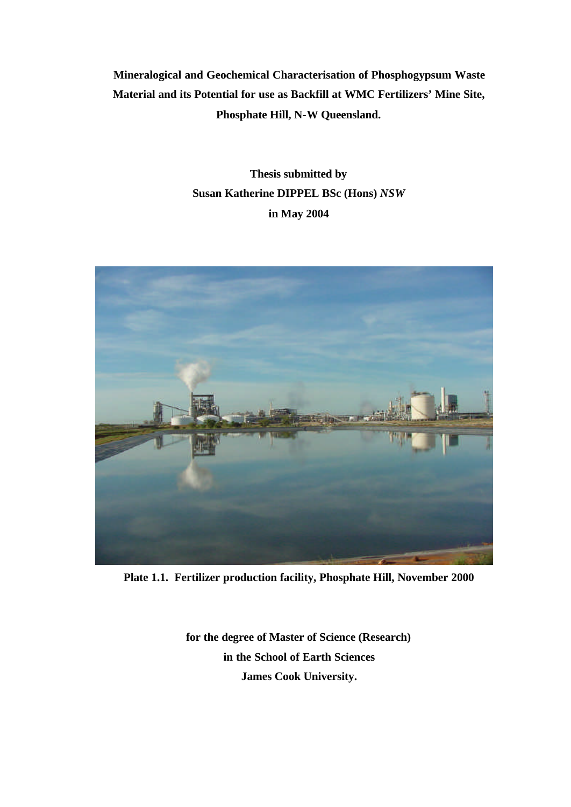**Mineralogical and Geochemical Characterisation of Phosphogypsum Waste Material and its Potential for use as Backfill at WMC Fertilizers' Mine Site, Phosphate Hill, N-W Queensland.**

> **Thesis submitted by Susan Katherine DIPPEL BSc (Hons)** *NSW* **in May 2004**



**Plate 1.1. Fertilizer production facility, Phosphate Hill, November 2000**

**for the degree of Master of Science (Research) in the School of Earth Sciences James Cook University.**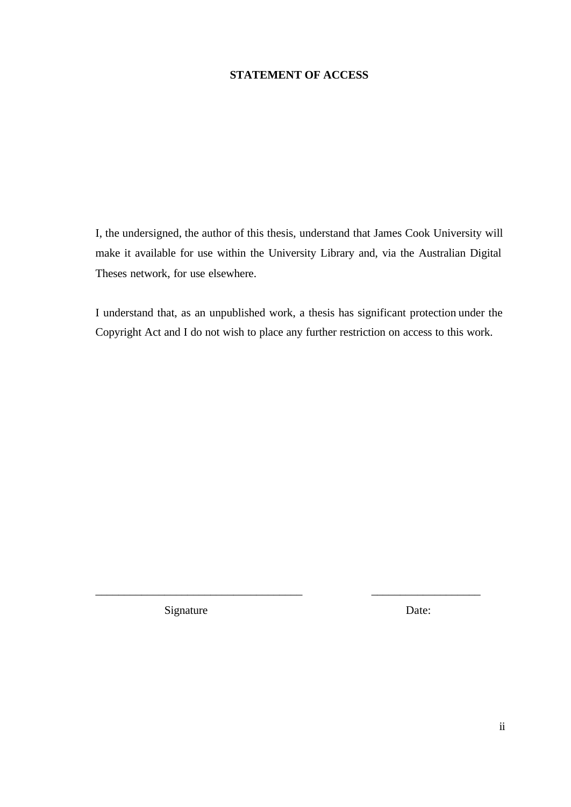## **STATEMENT OF ACCESS**

I, the undersigned, the author of this thesis, understand that James Cook University will make it available for use within the University Library and, via the Australian Digital Theses network, for use elsewhere.

I understand that, as an unpublished work, a thesis has significant protection under the Copyright Act and I do not wish to place any further restriction on access to this work.

\_\_\_\_\_\_\_\_\_\_\_\_\_\_\_\_\_\_\_\_\_\_\_\_\_\_\_\_\_\_\_\_\_\_\_\_ \_\_\_\_\_\_\_\_\_\_\_\_\_\_\_\_\_\_\_

Signature Date: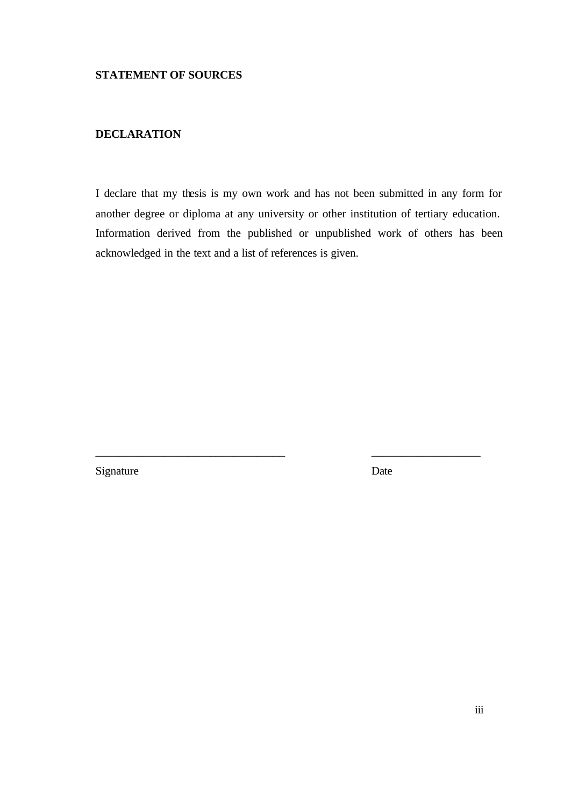## **DECLARATION**

I declare that my thesis is my own work and has not been submitted in any form for another degree or diploma at any university or other institution of tertiary education. Information derived from the published or unpublished work of others has been acknowledged in the text and a list of references is given.

\_\_\_\_\_\_\_\_\_\_\_\_\_\_\_\_\_\_\_\_\_\_\_\_\_\_\_\_\_\_\_\_\_ \_\_\_\_\_\_\_\_\_\_\_\_\_\_\_\_\_\_\_

Signature Date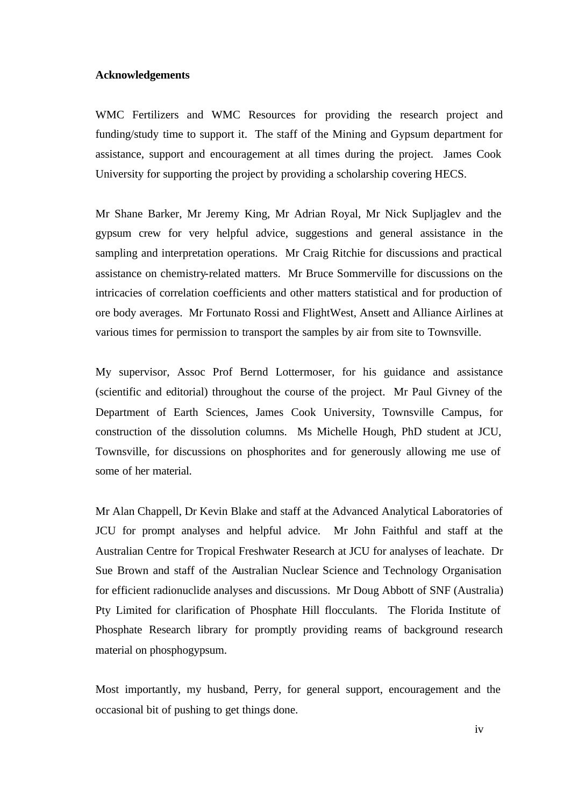#### **Acknowledgements**

WMC Fertilizers and WMC Resources for providing the research project and funding/study time to support it. The staff of the Mining and Gypsum department for assistance, support and encouragement at all times during the project. James Cook University for supporting the project by providing a scholarship covering HECS.

Mr Shane Barker, Mr Jeremy King, Mr Adrian Royal, Mr Nick Supljaglev and the gypsum crew for very helpful advice, suggestions and general assistance in the sampling and interpretation operations. Mr Craig Ritchie for discussions and practical assistance on chemistry-related matters. Mr Bruce Sommerville for discussions on the intricacies of correlation coefficients and other matters statistical and for production of ore body averages. Mr Fortunato Rossi and FlightWest, Ansett and Alliance Airlines at various times for permission to transport the samples by air from site to Townsville.

My supervisor, Assoc Prof Bernd Lottermoser, for his guidance and assistance (scientific and editorial) throughout the course of the project. Mr Paul Givney of the Department of Earth Sciences, James Cook University, Townsville Campus, for construction of the dissolution columns. Ms Michelle Hough, PhD student at JCU, Townsville, for discussions on phosphorites and for generously allowing me use of some of her material.

Mr Alan Chappell, Dr Kevin Blake and staff at the Advanced Analytical Laboratories of JCU for prompt analyses and helpful advice. Mr John Faithful and staff at the Australian Centre for Tropical Freshwater Research at JCU for analyses of leachate. Dr Sue Brown and staff of the Australian Nuclear Science and Technology Organisation for efficient radionuclide analyses and discussions. Mr Doug Abbott of SNF (Australia) Pty Limited for clarification of Phosphate Hill flocculants. The Florida Institute of Phosphate Research library for promptly providing reams of background research material on phosphogypsum.

Most importantly, my husband, Perry, for general support, encouragement and the occasional bit of pushing to get things done.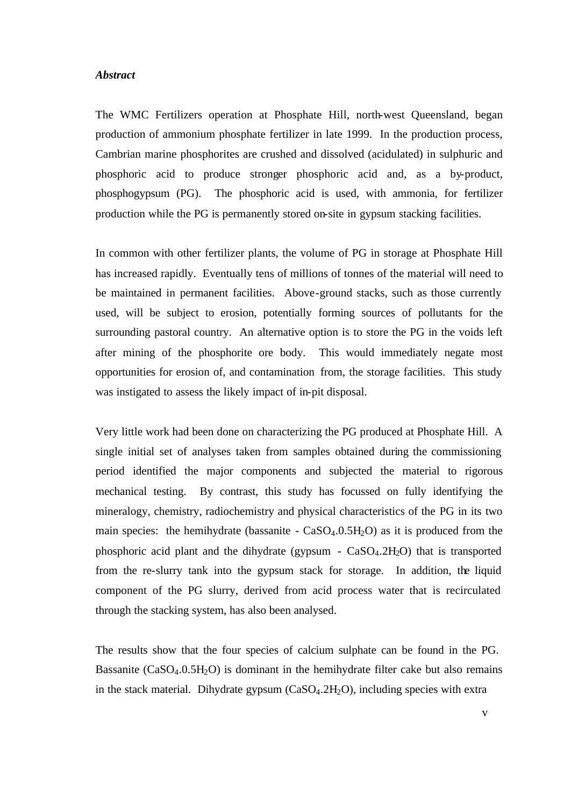#### *Abstract*

The WMC Fertilizers operation at Phosphate Hill, north-west Queensland, began production of ammonium phosphate fertilizer in late 1999. In the production process, Cambrian marine phosphorites are crushed and dissolved (acidulated) in sulphuric and phosphoric acid to produce stronger phosphoric acid and, as a by-product, phosphogypsum (PG). The phosphoric acid is used, with ammonia, for fertilizer production while the PG is permanently stored on-site in gypsum stacking facilities.

In common with other fertilizer plants, the volume of PG in storage at Phosphate Hill has increased rapidly. Eventually tens of millions of tonnes of the material will need to be maintained in permanent facilities. Above-ground stacks, such as those currently used, will be subject to erosion, potentially forming sources of pollutants for the surrounding pastoral country. An alternative option is to store the PG in the voids left after mining of the phosphorite ore body. This would immediately negate most opportunities for erosion of, and contamination from, the storage facilities. This study was instigated to assess the likely impact of in-pit disposal.

Very little work had been done on characterizing the PG produced at Phosphate Hill. A single initial set of analyses taken from samples obtained during the commissioning period identified the major components and subjected the material to rigorous mechanical testing. By contrast, this study has focussed on fully identifying the mineralogy, chemistry, radiochemistry and physical characteristics of the PG in its two main species: the hemihydrate (bassanite -  $CaSO<sub>4</sub>$ .0.5H<sub>2</sub>O) as it is produced from the phosphoric acid plant and the dihydrate (gypsum  $-$  CaSO<sub>4</sub>.2H<sub>2</sub>O) that is transported from the re-slurry tank into the gypsum stack for storage. In addition, the liquid component of the PG slurry, derived from acid process water that is recirculated through the stacking system, has also been analysed.

The results show that the four species of calcium sulphate can be found in the PG. Bassanite  $(CaSO<sub>4</sub>.0.5H<sub>2</sub>O)$  is dominant in the hemihydrate filter cake but also remains in the stack material. Dihydrate gypsum  $(CaSO<sub>4</sub>.2H<sub>2</sub>O)$ , including species with extra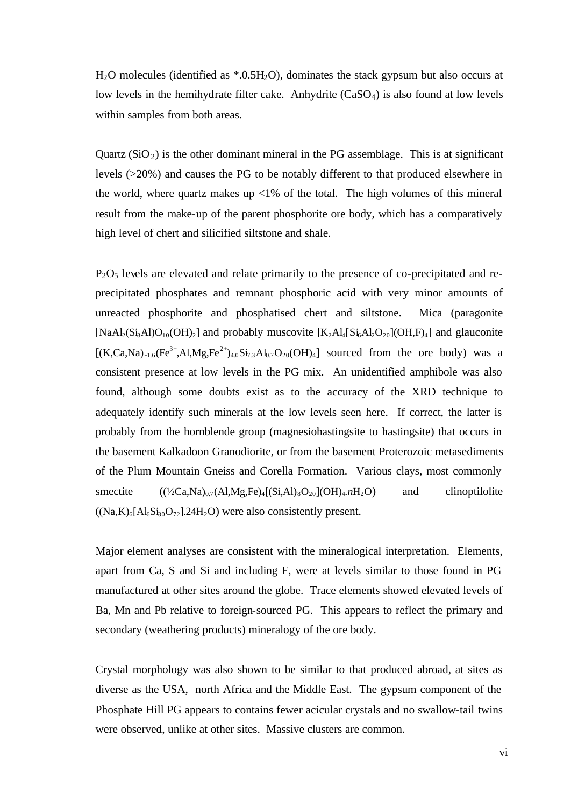$H<sub>2</sub>O$  molecules (identified as  $*0.5H<sub>2</sub>O$ ), dominates the stack gypsum but also occurs at low levels in the hemihydrate filter cake. Anhydrite (CaSO<sub>4</sub>) is also found at low levels within samples from both areas.

Quartz  $(SiO<sub>2</sub>)$  is the other dominant mineral in the PG assemblage. This is at significant levels (>20%) and causes the PG to be notably different to that produced elsewhere in the world, where quartz makes up  $<1\%$  of the total. The high volumes of this mineral result from the make-up of the parent phosphorite ore body, which has a comparatively high level of chert and silicified siltstone and shale.

 $P_2O_5$  levels are elevated and relate primarily to the presence of co-precipitated and reprecipitated phosphates and remnant phosphoric acid with very minor amounts of unreacted phosphorite and phosphatised chert and siltstone. Mica (paragonite [NaAl<sub>2</sub>(Si<sub>3</sub>Al<sub>1</sub>O<sub>10</sub>(OH)<sub>2</sub>] and probably muscovite  $[K_2A_4[S_4A_2O_{20}](OH, F)_4]$  and glauconite  $[(K,Ca,Na)_{\sim 1.6}(Fe^{3+},Al,Mg,Fe^{2+})_{4.0}Si_{7.3}Al_{0.7}O_{20}(OH)_4]$  sourced from the ore body) was a consistent presence at low levels in the PG mix. An unidentified amphibole was also found, although some doubts exist as to the accuracy of the XRD technique to adequately identify such minerals at the low levels seen here. If correct, the latter is probably from the hornblende group (magnesiohastingsite to hastingsite) that occurs in the basement Kalkadoon Granodiorite, or from the basement Proterozoic metasediments of the Plum Mountain Gneiss and Corella Formation. Various clays, most commonly smectite  $((\frac{1}{2}Ca,Na)_{0.7}(Al,Mg,Fe)_{4}[(Si,Al)_{8}O_{20}](OH)_{4}.nH_{2}O)$  and clinoptilolite  $((Na,K)_{6}[Al_{6}Si_{30}O_{72}]$ .24H<sub>2</sub>O) were also consistently present.

Major element analyses are consistent with the mineralogical interpretation. Elements, apart from Ca, S and Si and including F, were at levels similar to those found in PG manufactured at other sites around the globe. Trace elements showed elevated levels of Ba, Mn and Pb relative to foreign-sourced PG. This appears to reflect the primary and secondary (weathering products) mineralogy of the ore body.

Crystal morphology was also shown to be similar to that produced abroad, at sites as diverse as the USA, north Africa and the Middle East. The gypsum component of the Phosphate Hill PG appears to contains fewer acicular crystals and no swallow-tail twins were observed, unlike at other sites. Massive clusters are common.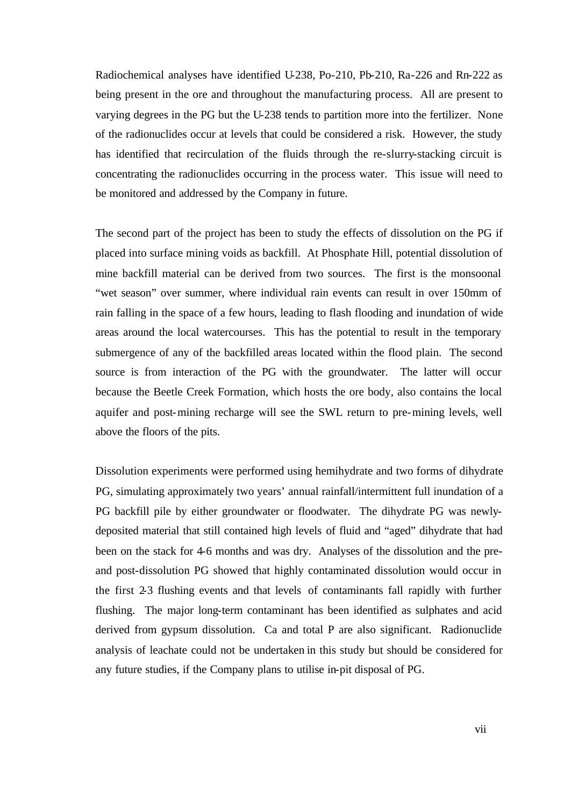Radiochemical analyses have identified U-238, Po-210, Pb-210, Ra-226 and Rn-222 as being present in the ore and throughout the manufacturing process. All are present to varying degrees in the PG but the U-238 tends to partition more into the fertilizer. None of the radionuclides occur at levels that could be considered a risk. However, the study has identified that recirculation of the fluids through the re-slurry-stacking circuit is concentrating the radionuclides occurring in the process water. This issue will need to be monitored and addressed by the Company in future.

The second part of the project has been to study the effects of dissolution on the PG if placed into surface mining voids as backfill. At Phosphate Hill, potential dissolution of mine backfill material can be derived from two sources. The first is the monsoonal "wet season" over summer, where individual rain events can result in over 150mm of rain falling in the space of a few hours, leading to flash flooding and inundation of wide areas around the local watercourses. This has the potential to result in the temporary submergence of any of the backfilled areas located within the flood plain. The second source is from interaction of the PG with the groundwater. The latter will occur because the Beetle Creek Formation, which hosts the ore body, also contains the local aquifer and post-mining recharge will see the SWL return to pre-mining levels, well above the floors of the pits.

Dissolution experiments were performed using hemihydrate and two forms of dihydrate PG, simulating approximately two years' annual rainfall/intermittent full inundation of a PG backfill pile by either groundwater or floodwater. The dihydrate PG was newlydeposited material that still contained high levels of fluid and "aged" dihydrate that had been on the stack for 4-6 months and was dry. Analyses of the dissolution and the preand post-dissolution PG showed that highly contaminated dissolution would occur in the first 2-3 flushing events and that levels of contaminants fall rapidly with further flushing. The major long-term contaminant has been identified as sulphates and acid derived from gypsum dissolution. Ca and total P are also significant. Radionuclide analysis of leachate could not be undertaken in this study but should be considered for any future studies, if the Company plans to utilise in-pit disposal of PG.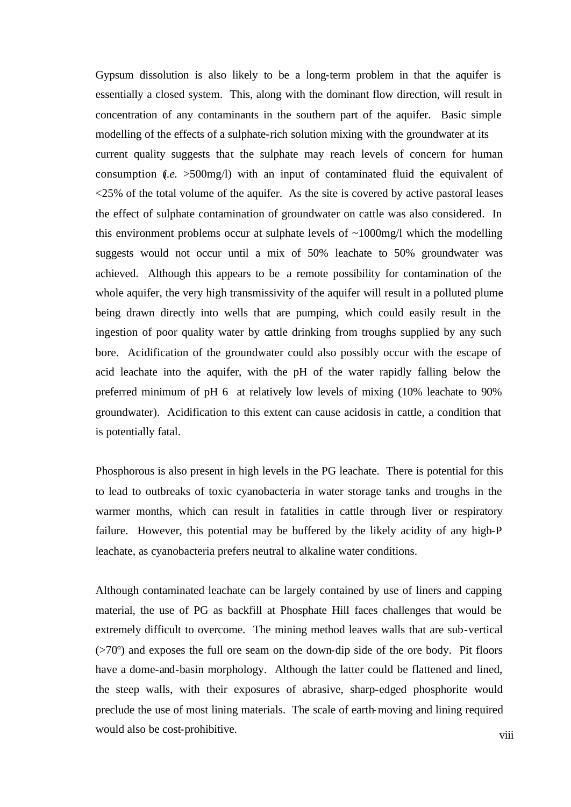Gypsum dissolution is also likely to be a long-term problem in that the aquifer is essentially a closed system. This, along with the dominant flow direction, will result in concentration of any contaminants in the southern part of the aquifer. Basic simple modelling of the effects of a sulphate-rich solution mixing with the groundwater at its current quality suggests that the sulphate may reach levels of concern for human consumption  $(i.e. >500mg/l)$  with an input of contaminated fluid the equivalent of <25% of the total volume of the aquifer. As the site is covered by active pastoral leases the effect of sulphate contamination of groundwater on cattle was also considered. In this environment problems occur at sulphate levels of  $\sim 1000$  mg/l which the modelling suggests would not occur until a mix of 50% leachate to 50% groundwater was achieved. Although this appears to be a remote possibility for contamination of the whole aquifer, the very high transmissivity of the aquifer will result in a polluted plume being drawn directly into wells that are pumping, which could easily result in the ingestion of poor quality water by cattle drinking from troughs supplied by any such bore. Acidification of the groundwater could also possibly occur with the escape of acid leachate into the aquifer, with the pH of the water rapidly falling below the preferred minimum of pH 6 at relatively low levels of mixing (10% leachate to 90% groundwater). Acidification to this extent can cause acidosis in cattle, a condition that is potentially fatal.

Phosphorous is also present in high levels in the PG leachate. There is potential for this to lead to outbreaks of toxic cyanobacteria in water storage tanks and troughs in the warmer months, which can result in fatalities in cattle through liver or respiratory failure. However, this potential may be buffered by the likely acidity of any high-P leachate, as cyanobacteria prefers neutral to alkaline water conditions.

Although contaminated leachate can be largely contained by use of liners and capping material, the use of PG as backfill at Phosphate Hill faces challenges that would be extremely difficult to overcome. The mining method leaves walls that are sub-vertical (>70º) and exposes the full ore seam on the down-dip side of the ore body. Pit floors have a dome-and-basin morphology. Although the latter could be flattened and lined, the steep walls, with their exposures of abrasive, sharp-edged phosphorite would preclude the use of most lining materials. The scale of earth-moving and lining required would also be cost-prohibitive.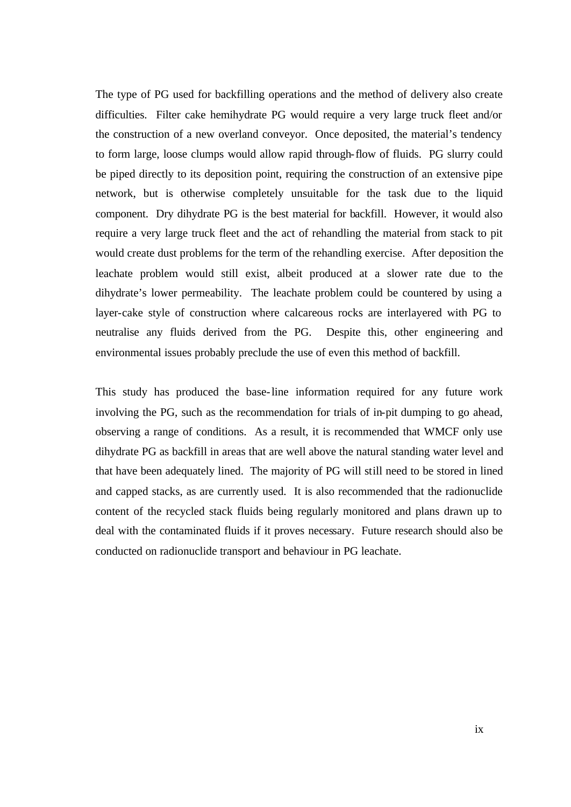The type of PG used for backfilling operations and the method of delivery also create difficulties. Filter cake hemihydrate PG would require a very large truck fleet and/or the construction of a new overland conveyor. Once deposited, the material's tendency to form large, loose clumps would allow rapid through-flow of fluids. PG slurry could be piped directly to its deposition point, requiring the construction of an extensive pipe network, but is otherwise completely unsuitable for the task due to the liquid component. Dry dihydrate PG is the best material for backfill. However, it would also require a very large truck fleet and the act of rehandling the material from stack to pit would create dust problems for the term of the rehandling exercise. After deposition the leachate problem would still exist, albeit produced at a slower rate due to the dihydrate's lower permeability. The leachate problem could be countered by using a layer-cake style of construction where calcareous rocks are interlayered with PG to neutralise any fluids derived from the PG. Despite this, other engineering and environmental issues probably preclude the use of even this method of backfill.

This study has produced the base-line information required for any future work involving the PG, such as the recommendation for trials of in-pit dumping to go ahead, observing a range of conditions. As a result, it is recommended that WMCF only use dihydrate PG as backfill in areas that are well above the natural standing water level and that have been adequately lined. The majority of PG will still need to be stored in lined and capped stacks, as are currently used. It is also recommended that the radionuclide content of the recycled stack fluids being regularly monitored and plans drawn up to deal with the contaminated fluids if it proves necessary. Future research should also be conducted on radionuclide transport and behaviour in PG leachate.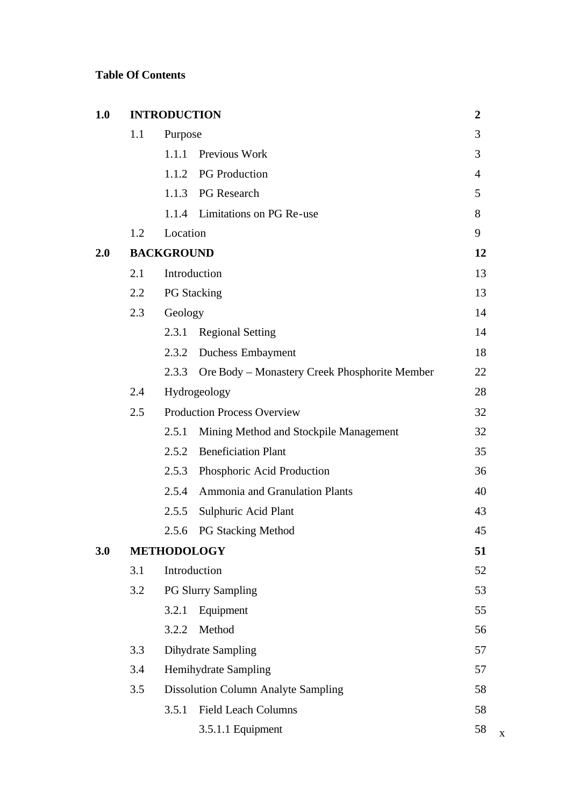# **Table Of Contents**

| 1.0 |                    | <b>INTRODUCTION</b>                |                                               | $\boldsymbol{2}$ |   |
|-----|--------------------|------------------------------------|-----------------------------------------------|------------------|---|
|     | 1.1                | Purpose                            |                                               | 3                |   |
|     |                    | 1.1.1                              | Previous Work                                 | 3                |   |
|     |                    |                                    | 1.1.2 PG Production                           | $\overline{4}$   |   |
|     |                    | 1.1.3                              | <b>PG</b> Research                            | 5                |   |
|     |                    | 1.1.4                              | Limitations on PG Re-use                      | 8                |   |
|     | 1.2                | Location                           |                                               | 9                |   |
| 2.0 |                    | <b>BACKGROUND</b>                  |                                               | 12               |   |
|     | 2.1                |                                    | Introduction                                  | 13               |   |
|     | 2.2                |                                    | <b>PG</b> Stacking                            | 13               |   |
|     | 2.3                | Geology                            |                                               | 14               |   |
|     |                    | 2.3.1                              | <b>Regional Setting</b>                       | 14               |   |
|     |                    | 2.3.2                              | Duchess Embayment                             | 18               |   |
|     |                    | 2.3.3                              | Ore Body – Monastery Creek Phosphorite Member | 22               |   |
|     | 2.4                |                                    | Hydrogeology                                  | 28               |   |
|     | 2.5                | <b>Production Process Overview</b> |                                               |                  |   |
|     |                    | 2.5.1                              | Mining Method and Stockpile Management        | 32               |   |
|     |                    | 2.5.2                              | <b>Beneficiation Plant</b>                    | 35               |   |
|     |                    | 2.5.3                              | Phosphoric Acid Production                    | 36               |   |
|     |                    | 2.5.4                              | <b>Ammonia and Granulation Plants</b>         | 40               |   |
|     |                    | 2.5.5                              | Sulphuric Acid Plant                          | 43               |   |
|     |                    | 2.5.6                              | <b>PG Stacking Method</b>                     | 45               |   |
| 3.0 | <b>METHODOLOGY</b> |                                    |                                               |                  |   |
|     | 3.1                |                                    | Introduction                                  | 52               |   |
|     | 3.2                |                                    | <b>PG Slurry Sampling</b>                     | 53               |   |
|     |                    | 3.2.1                              | Equipment                                     | 55               |   |
|     |                    | 3.2.2                              | Method                                        | 56               |   |
|     | 3.3                | <b>Dihydrate Sampling</b>          |                                               | 57               |   |
|     | 3.4                | Hemihydrate Sampling               |                                               |                  |   |
|     | 3.5                |                                    | <b>Dissolution Column Analyte Sampling</b>    | 58               |   |
|     |                    | 3.5.1                              | <b>Field Leach Columns</b>                    | 58               |   |
|     |                    |                                    | 3.5.1.1 Equipment                             | 58               | X |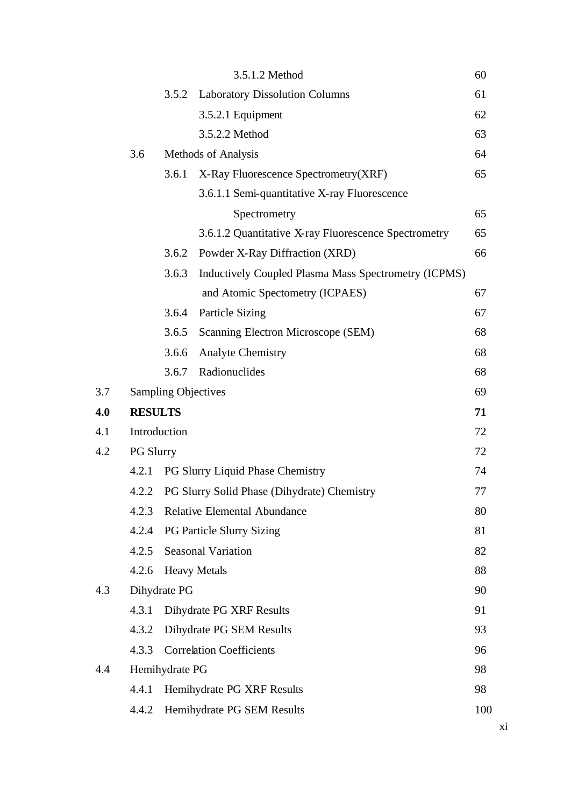|     |                  |                            | 3.5.1.2 Method                                       | 60  |
|-----|------------------|----------------------------|------------------------------------------------------|-----|
|     |                  | 3.5.2                      | <b>Laboratory Dissolution Columns</b>                | 61  |
|     |                  |                            | 3.5.2.1 Equipment                                    | 62  |
|     |                  |                            | 3.5.2.2 Method                                       | 63  |
|     | 3.6              |                            | Methods of Analysis                                  | 64  |
|     |                  | 3.6.1                      | X-Ray Fluorescence Spectrometry (XRF)                | 65  |
|     |                  |                            | 3.6.1.1 Semi-quantitative X-ray Fluorescence         |     |
|     |                  |                            | Spectrometry                                         | 65  |
|     |                  |                            | 3.6.1.2 Quantitative X-ray Fluorescence Spectrometry | 65  |
|     |                  | 3.6.2                      | Powder X-Ray Diffraction (XRD)                       | 66  |
|     |                  | 3.6.3                      | Inductively Coupled Plasma Mass Spectrometry (ICPMS) |     |
|     |                  |                            | and Atomic Spectometry (ICPAES)                      | 67  |
|     |                  | 3.6.4                      | <b>Particle Sizing</b>                               | 67  |
|     |                  | 3.6.5                      | Scanning Electron Microscope (SEM)                   | 68  |
|     |                  | 3.6.6                      | <b>Analyte Chemistry</b>                             | 68  |
|     |                  | 3.6.7                      | Radionuclides                                        | 68  |
| 3.7 |                  | <b>Sampling Objectives</b> |                                                      | 69  |
| 4.0 | <b>RESULTS</b>   |                            |                                                      | 71  |
| 4.1 | Introduction     |                            |                                                      | 72  |
| 4.2 | <b>PG Slurry</b> |                            |                                                      | 72  |
|     | 4.2.1            |                            | PG Slurry Liquid Phase Chemistry                     | 74  |
|     | 4.2.2            |                            | PG Slurry Solid Phase (Dihydrate) Chemistry          | 77  |
|     | 4.2.3            |                            | <b>Relative Elemental Abundance</b>                  | 80  |
|     | 4.2.4            |                            | <b>PG Particle Slurry Sizing</b>                     | 81  |
|     | 4.2.5            |                            | <b>Seasonal Variation</b>                            | 82  |
|     | 4.2.6            |                            | <b>Heavy Metals</b>                                  | 88  |
| 4.3 |                  | Dihydrate PG               |                                                      | 90  |
|     | 4.3.1            |                            | Dihydrate PG XRF Results                             | 91  |
|     | 4.3.2            |                            | Dihydrate PG SEM Results                             | 93  |
|     | 4.3.3            |                            | <b>Correlation Coefficients</b>                      | 96  |
| 4.4 |                  | Hemihydrate PG             |                                                      | 98  |
|     | 4.4.1            |                            | Hemihydrate PG XRF Results                           | 98  |
|     | 4.4.2            |                            | Hemihydrate PG SEM Results                           | 100 |
|     |                  |                            |                                                      |     |

xi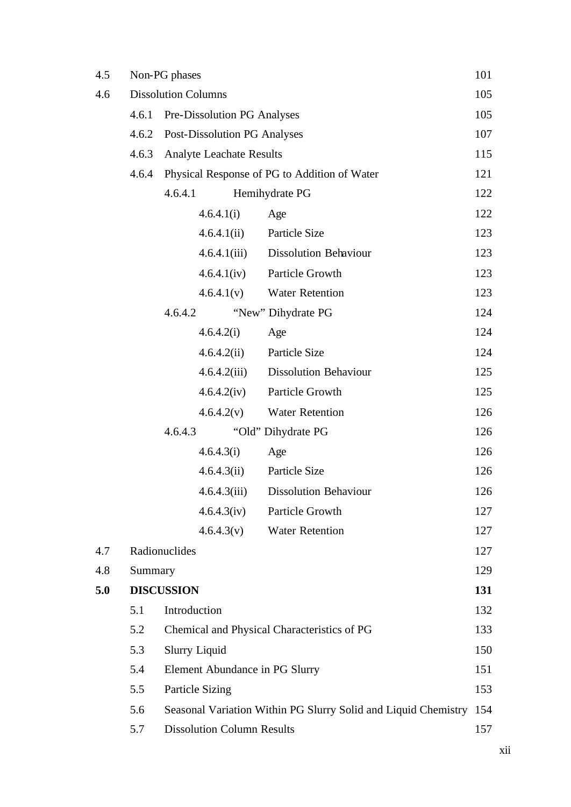| 4.5 |         | Non-PG phases                     |                                                                | 101 |
|-----|---------|-----------------------------------|----------------------------------------------------------------|-----|
| 4.6 |         | <b>Dissolution Columns</b>        |                                                                | 105 |
|     | 4.6.1   | Pre-Dissolution PG Analyses       |                                                                | 105 |
|     | 4.6.2   | Post-Dissolution PG Analyses      |                                                                | 107 |
|     | 4.6.3   | <b>Analyte Leachate Results</b>   |                                                                | 115 |
|     | 4.6.4   |                                   | Physical Response of PG to Addition of Water                   | 121 |
|     |         | 4.6.4.1                           | Hemihydrate PG                                                 | 122 |
|     |         | 4.6.4.1(i)                        | Age                                                            | 122 |
|     |         | 4.6.4.1(ii)                       | Particle Size                                                  | 123 |
|     |         | 4.6.4.1(iii)                      | <b>Dissolution Behaviour</b>                                   | 123 |
|     |         | 4.6.4.1(iv)                       | Particle Growth                                                | 123 |
|     |         | 4.6.4.1(v)                        | <b>Water Retention</b>                                         | 123 |
|     |         | 4.6.4.2                           | "New" Dihydrate PG                                             | 124 |
|     |         | 4.6.4.2(i)                        | Age                                                            | 124 |
|     |         | 4.6.4.2(ii)                       | Particle Size                                                  | 124 |
|     |         | 4.6.4.2(iii)                      | <b>Dissolution Behaviour</b>                                   | 125 |
|     |         | 4.6.4.2(iv)                       | Particle Growth                                                | 125 |
|     |         | 4.6.4.2(v)                        | <b>Water Retention</b>                                         | 126 |
|     |         | 4.6.4.3                           | "Old" Dihydrate PG                                             | 126 |
|     |         | 4.6.4.3(i)                        | Age                                                            | 126 |
|     |         | 4.6.4.3(ii)                       | Particle Size                                                  | 126 |
|     |         | 4.6.4.3(iii)                      | <b>Dissolution Behaviour</b>                                   | 126 |
|     |         | 4.6.4.3(iv)                       | Particle Growth                                                | 127 |
|     |         | 4.6.4.3(v)                        | <b>Water Retention</b>                                         | 127 |
| 4.7 |         | Radionuclides                     |                                                                | 127 |
| 4.8 | Summary |                                   |                                                                | 129 |
| 5.0 |         | <b>DISCUSSION</b>                 |                                                                | 131 |
|     | 5.1     | Introduction                      |                                                                | 132 |
|     | 5.2     |                                   | Chemical and Physical Characteristics of PG                    | 133 |
|     | 5.3     | <b>Slurry Liquid</b>              |                                                                | 150 |
|     | 5.4     | Element Abundance in PG Slurry    |                                                                | 151 |
|     | 5.5     | <b>Particle Sizing</b>            |                                                                | 153 |
|     | 5.6     |                                   | Seasonal Variation Within PG Slurry Solid and Liquid Chemistry | 154 |
|     | 5.7     | <b>Dissolution Column Results</b> |                                                                | 157 |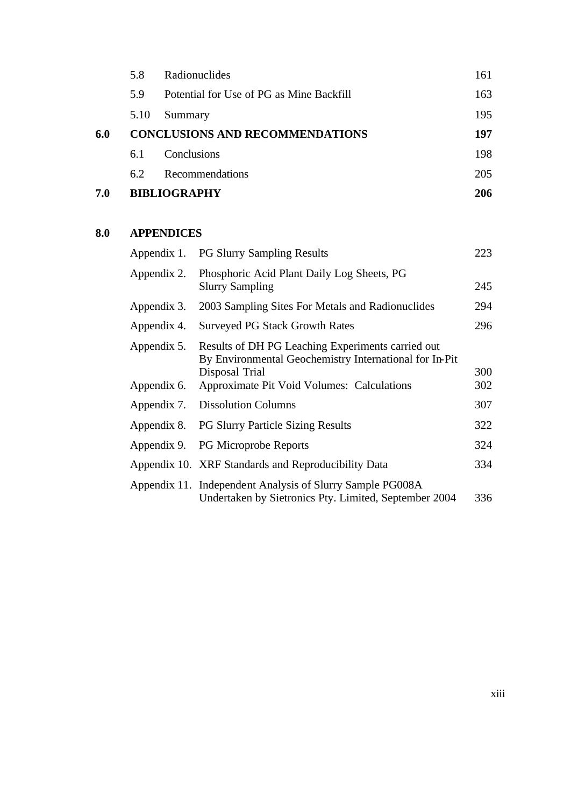| 7.0 |      | <b>BIBLIOGRAPHY</b>                      | 206 |
|-----|------|------------------------------------------|-----|
|     | 6.2  | Recommendations                          | 205 |
|     | 6.1  | Conclusions                              | 198 |
| 6.0 |      | <b>CONCLUSIONS AND RECOMMENDATIONS</b>   | 197 |
|     | 5.10 | Summary                                  | 195 |
|     | 5.9  | Potential for Use of PG as Mine Backfill | 163 |
|     | 5.8  | Radionuclides                            | 161 |

# **8.0 APPENDICES**

|                            | Appendix 1. PG Slurry Sampling Results                                                                                                                                      | 223        |
|----------------------------|-----------------------------------------------------------------------------------------------------------------------------------------------------------------------------|------------|
| Appendix 2.                | Phosphoric Acid Plant Daily Log Sheets, PG<br><b>Slurry Sampling</b>                                                                                                        | 245        |
| Appendix 3.                | 2003 Sampling Sites For Metals and Radionuclides                                                                                                                            | 294        |
| Appendix 4.                | <b>Surveyed PG Stack Growth Rates</b>                                                                                                                                       | 296        |
| Appendix 5.<br>Appendix 6. | Results of DH PG Leaching Experiments carried out<br>By Environmental Geochemistry International for In-Pit<br>Disposal Trial<br>Approximate Pit Void Volumes: Calculations | 300<br>302 |
| Appendix 7.                | <b>Dissolution Columns</b>                                                                                                                                                  | 307        |
| Appendix 8.                | <b>PG Slurry Particle Sizing Results</b>                                                                                                                                    | 322        |
|                            | Appendix 9. PG Microprobe Reports                                                                                                                                           | 324        |
|                            | Appendix 10. XRF Standards and Reproducibility Data                                                                                                                         | 334        |
|                            | Appendix 11. Independent Analysis of Slurry Sample PG008A<br>Undertaken by Sietronics Pty. Limited, September 2004                                                          | 336        |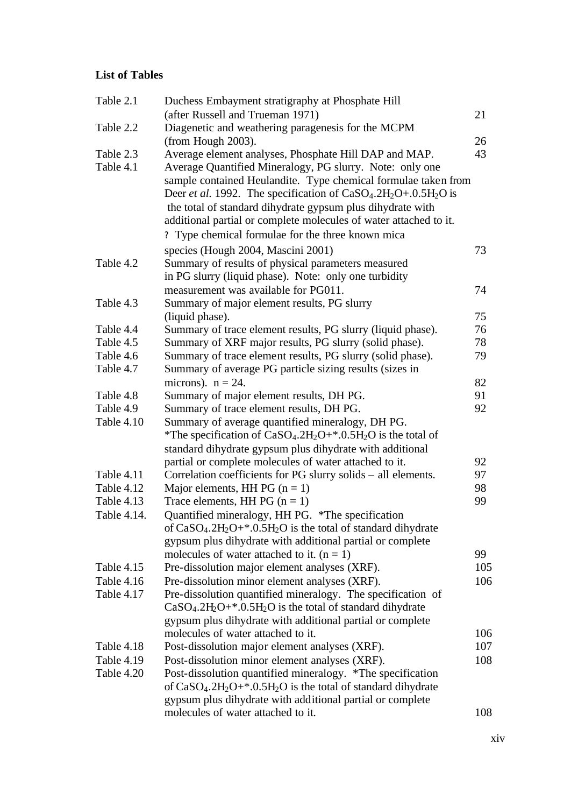## **List of Tables**

| Table 2.1   | Duchess Embayment stratigraphy at Phosphate Hill                                                 |     |
|-------------|--------------------------------------------------------------------------------------------------|-----|
|             | (after Russell and Trueman 1971)                                                                 | 21  |
| Table 2.2   | Diagenetic and weathering paragenesis for the MCPM                                               |     |
|             | (from Hough 2003).                                                                               | 26  |
| Table 2.3   | Average element analyses, Phosphate Hill DAP and MAP.                                            | 43  |
| Table 4.1   | Average Quantified Mineralogy, PG slurry. Note: only one                                         |     |
|             | sample contained Heulandite. Type chemical formulae taken from                                   |     |
|             | Deer <i>et al.</i> 1992. The specification of $CaSO4$ .2H <sub>2</sub> O+.0.5H <sub>2</sub> O is |     |
|             | the total of standard dihydrate gypsum plus dihydrate with                                       |     |
|             | additional partial or complete molecules of water attached to it.                                |     |
|             | ? Type chemical formulae for the three known mica                                                |     |
|             | species (Hough 2004, Mascini 2001)                                                               | 73  |
| Table 4.2   | Summary of results of physical parameters measured                                               |     |
|             | in PG slurry (liquid phase). Note: only one turbidity                                            |     |
|             | measurement was available for PG011.                                                             | 74  |
| Table 4.3   | Summary of major element results, PG slurry                                                      |     |
|             | (liquid phase).                                                                                  | 75  |
| Table 4.4   | Summary of trace element results, PG slurry (liquid phase).                                      | 76  |
| Table 4.5   | Summary of XRF major results, PG slurry (solid phase).                                           | 78  |
| Table 4.6   | Summary of trace element results, PG slurry (solid phase).                                       | 79  |
| Table 4.7   | Summary of average PG particle sizing results (sizes in                                          |     |
|             | microns). $n = 24$ .                                                                             | 82  |
| Table 4.8   | Summary of major element results, DH PG.                                                         | 91  |
| Table 4.9   | Summary of trace element results, DH PG.                                                         | 92  |
| Table 4.10  | Summary of average quantified mineralogy, DH PG.                                                 |     |
|             | *The specification of $CaSO_4.2H_2O+$ *.0.5H <sub>2</sub> O is the total of                      |     |
|             | standard dihydrate gypsum plus dihydrate with additional                                         |     |
|             | partial or complete molecules of water attached to it.                                           | 92  |
| Table 4.11  | Correlation coefficients for PG slurry solids – all elements.                                    | 97  |
| Table 4.12  | Major elements, HH PG $(n = 1)$                                                                  | 98  |
| Table 4.13  | Trace elements, HH PG $(n = 1)$                                                                  | 99  |
| Table 4.14. | Quantified mineralogy, HH PG. *The specification                                                 |     |
|             | of CaSO <sub>4</sub> .2H <sub>2</sub> O+*.0.5H <sub>2</sub> O is the total of standard dihydrate |     |
|             | gypsum plus dihydrate with additional partial or complete                                        |     |
|             | molecules of water attached to it. $(n = 1)$                                                     | 99  |
| Table 4.15  | Pre-dissolution major element analyses (XRF).                                                    | 105 |
| Table 4.16  | Pre-dissolution minor element analyses (XRF).                                                    | 106 |
| Table 4.17  | Pre-dissolution quantified mineralogy. The specification of                                      |     |
|             | $CaSO4$ .2H <sub>2</sub> O+*.0.5H <sub>2</sub> O is the total of standard dihydrate              |     |
|             | gypsum plus dihydrate with additional partial or complete                                        |     |
|             | molecules of water attached to it.                                                               | 106 |
| Table 4.18  | Post-dissolution major element analyses (XRF).                                                   | 107 |
| Table 4.19  | Post-dissolution minor element analyses (XRF).                                                   | 108 |
| Table 4.20  | Post-dissolution quantified mineralogy. *The specification                                       |     |
|             | of $CaSO_4.2H_2O+*.0.5H_2O$ is the total of standard dihydrate                                   |     |
|             | gypsum plus dihydrate with additional partial or complete                                        |     |
|             | molecules of water attached to it.                                                               | 108 |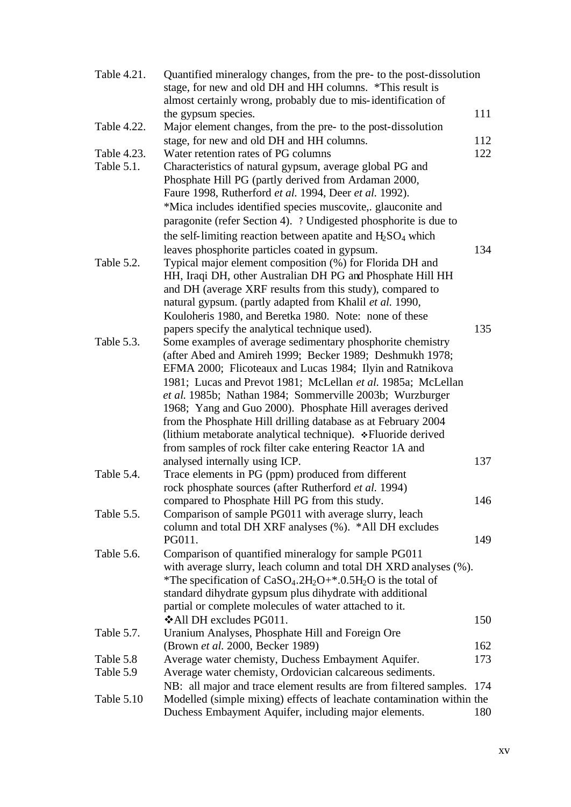| Table 4.21. | Quantified mineralogy changes, from the pre- to the post-dissolution<br>stage, for new and old DH and HH columns. *This result is |     |
|-------------|-----------------------------------------------------------------------------------------------------------------------------------|-----|
|             | almost certainly wrong, probably due to mis-identification of                                                                     |     |
| Table 4.22. | the gypsum species.<br>Major element changes, from the pre- to the post-dissolution                                               | 111 |
|             |                                                                                                                                   |     |
|             | stage, for new and old DH and HH columns.                                                                                         | 112 |
| Table 4.23. | Water retention rates of PG columns                                                                                               | 122 |
| Table 5.1.  | Characteristics of natural gypsum, average global PG and                                                                          |     |
|             | Phosphate Hill PG (partly derived from Ardaman 2000,                                                                              |     |
|             | Faure 1998, Rutherford et al. 1994, Deer et al. 1992).                                                                            |     |
|             | *Mica includes identified species muscovite, glauconite and                                                                       |     |
|             | paragonite (refer Section 4). ? Undigested phosphorite is due to                                                                  |     |
|             | the self-limiting reaction between apatite and $H_2SO_4$ which                                                                    |     |
|             | leaves phosphorite particles coated in gypsum.                                                                                    | 134 |
| Table 5.2.  | Typical major element composition (%) for Florida DH and                                                                          |     |
|             | HH, Iraqi DH, other Australian DH PG and Phosphate Hill HH                                                                        |     |
|             | and DH (average XRF results from this study), compared to                                                                         |     |
|             | natural gypsum. (partly adapted from Khalil et al. 1990,                                                                          |     |
|             | Kouloheris 1980, and Beretka 1980. Note: none of these                                                                            |     |
|             | papers specify the analytical technique used).                                                                                    | 135 |
| Table 5.3.  | Some examples of average sedimentary phosphorite chemistry                                                                        |     |
|             | (after Abed and Amireh 1999; Becker 1989; Deshmukh 1978;                                                                          |     |
|             | EFMA 2000; Flicoteaux and Lucas 1984; Ilyin and Ratnikova                                                                         |     |
|             | 1981; Lucas and Prevot 1981; McLellan et al. 1985a; McLellan                                                                      |     |
|             | et al. 1985b; Nathan 1984; Sommerville 2003b; Wurzburger                                                                          |     |
|             | 1968; Yang and Guo 2000). Phosphate Hill averages derived                                                                         |     |
|             | from the Phosphate Hill drilling database as at February 2004                                                                     |     |
|             | (lithium metaborate analytical technique). *Fluoride derived                                                                      |     |
|             | from samples of rock filter cake entering Reactor 1A and                                                                          |     |
|             | analysed internally using ICP.                                                                                                    | 137 |
| Table 5.4.  | Trace elements in PG (ppm) produced from different                                                                                |     |
|             | rock phosphate sources (after Rutherford et al. 1994)                                                                             |     |
|             | compared to Phosphate Hill PG from this study.                                                                                    | 146 |
| Table 5.5.  | Comparison of sample PG011 with average slurry, leach                                                                             |     |
|             | column and total DH XRF analyses (%). *All DH excludes                                                                            |     |
|             | PG011.                                                                                                                            | 149 |
| Table 5.6.  | Comparison of quantified mineralogy for sample PG011                                                                              |     |
|             | with average slurry, leach column and total DH XRD analyses (%).                                                                  |     |
|             | *The specification of $CaSO_4.2H_2O+$ *.0.5H <sub>2</sub> O is the total of                                                       |     |
|             | standard dihydrate gypsum plus dihydrate with additional                                                                          |     |
|             | partial or complete molecules of water attached to it.                                                                            |     |
|             | ❖All DH excludes PG011.                                                                                                           | 150 |
| Table 5.7.  | Uranium Analyses, Phosphate Hill and Foreign Ore                                                                                  |     |
|             | (Brown et al. 2000, Becker 1989)                                                                                                  | 162 |
| Table 5.8   | Average water chemisty, Duchess Embayment Aquifer.                                                                                | 173 |
| Table 5.9   | Average water chemisty, Ordovician calcareous sediments.                                                                          |     |
|             | NB: all major and trace element results are from filtered samples.                                                                | 174 |
| Table 5.10  | Modelled (simple mixing) effects of leachate contamination within the                                                             |     |
|             | Duchess Embayment Aquifer, including major elements.                                                                              | 180 |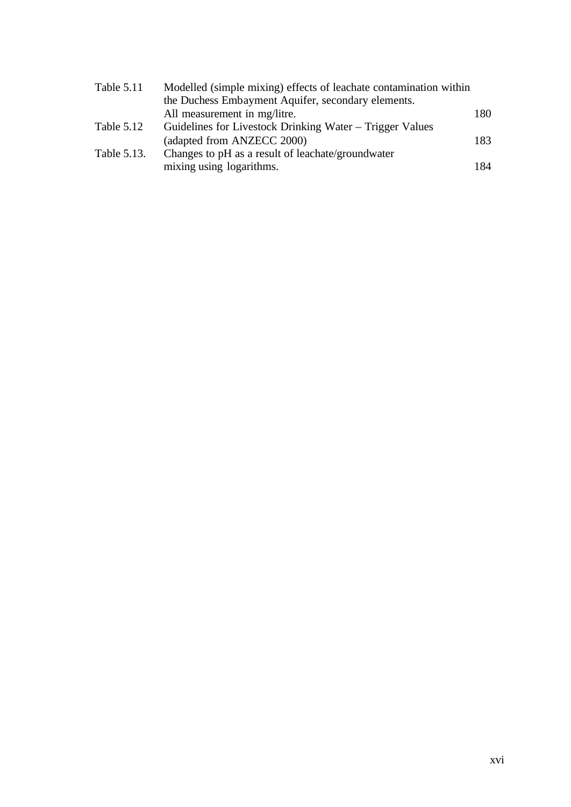| Table 5.11  | Modelled (simple mixing) effects of leachate contamination within |     |
|-------------|-------------------------------------------------------------------|-----|
|             | the Duchess Embayment Aquifer, secondary elements.                |     |
|             | All measurement in mg/litre.                                      | 180 |
| Table 5.12  | Guidelines for Livestock Drinking Water – Trigger Values          |     |
|             | (adapted from ANZECC 2000)                                        | 183 |
| Table 5.13. | Changes to pH as a result of leachate/groundwater                 |     |
|             | mixing using logarithms.                                          | 184 |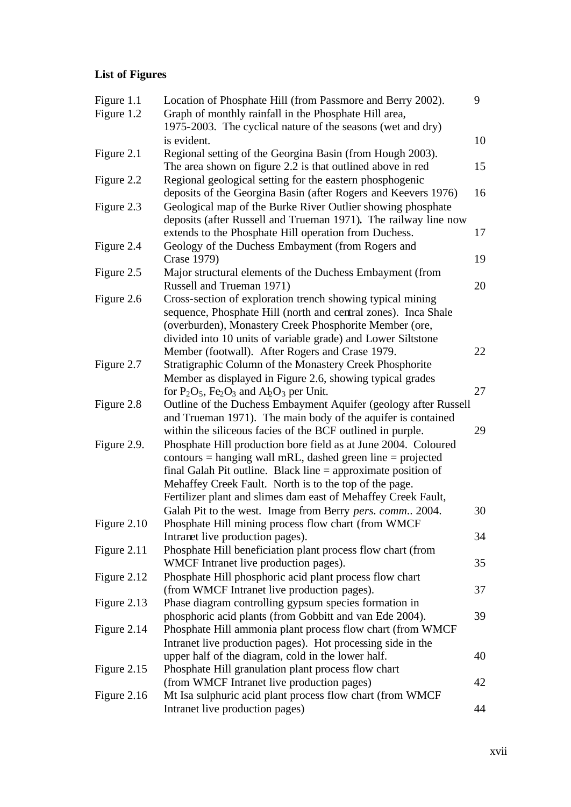# **List of Figures**

| Figure 1.1    | Location of Phosphate Hill (from Passmore and Berry 2002).                                                                   | 9  |
|---------------|------------------------------------------------------------------------------------------------------------------------------|----|
| Figure 1.2    | Graph of monthly rainfall in the Phosphate Hill area,                                                                        |    |
|               | 1975-2003. The cyclical nature of the seasons (wet and dry)                                                                  |    |
|               | is evident.                                                                                                                  | 10 |
| Figure 2.1    | Regional setting of the Georgina Basin (from Hough 2003).                                                                    |    |
|               | The area shown on figure 2.2 is that outlined above in red                                                                   | 15 |
| Figure 2.2    | Regional geological setting for the eastern phosphogenic                                                                     |    |
|               | deposits of the Georgina Basin (after Rogers and Keevers 1976)                                                               | 16 |
| Figure 2.3    | Geological map of the Burke River Outlier showing phosphate                                                                  |    |
|               | deposits (after Russell and Trueman 1971). The railway line now                                                              |    |
|               | extends to the Phosphate Hill operation from Duchess.                                                                        | 17 |
| Figure 2.4    | Geology of the Duchess Embayment (from Rogers and                                                                            |    |
|               | Crase 1979)                                                                                                                  | 19 |
| Figure 2.5    | Major structural elements of the Duchess Embayment (from                                                                     |    |
|               | Russell and Trueman 1971)                                                                                                    | 20 |
| Figure 2.6    | Cross-section of exploration trench showing typical mining                                                                   |    |
|               | sequence, Phosphate Hill (north and central zones). Inca Shale                                                               |    |
|               | (overburden), Monastery Creek Phosphorite Member (ore,                                                                       |    |
|               | divided into 10 units of variable grade) and Lower Siltstone                                                                 |    |
|               | Member (footwall). After Rogers and Crase 1979.                                                                              | 22 |
| Figure 2.7    | Stratigraphic Column of the Monastery Creek Phosphorite                                                                      |    |
|               | Member as displayed in Figure 2.6, showing typical grades                                                                    |    |
|               | for $P_2O_5$ , $Fe_2O_3$ and $A_2O_3$ per Unit.                                                                              | 27 |
| Figure 2.8    | Outline of the Duchess Embayment Aquifer (geology after Russell                                                              |    |
|               | and Trueman 1971). The main body of the aquifer is contained                                                                 | 29 |
| Figure 2.9.   | within the siliceous facies of the BCF outlined in purple.<br>Phosphate Hill production bore field as at June 2004. Coloured |    |
|               | $contours = hanging wall mRL, dashed green line = projected$                                                                 |    |
|               | final Galah Pit outline. Black line $=$ approximate position of                                                              |    |
|               | Mehaffey Creek Fault. North is to the top of the page.                                                                       |    |
|               | Fertilizer plant and slimes dam east of Mehaffey Creek Fault,                                                                |    |
|               | Galah Pit to the west. Image from Berry pers. comm 2004.                                                                     | 30 |
| Figure 2.10   | Phosphate Hill mining process flow chart (from WMCF                                                                          |    |
|               | Intranet live production pages).                                                                                             | 34 |
| Figure 2.11   | Phosphate Hill beneficiation plant process flow chart (from                                                                  |    |
|               | WMCF Intranet live production pages).                                                                                        | 35 |
| Figure 2.12   | Phosphate Hill phosphoric acid plant process flow chart                                                                      |    |
|               | (from WMCF Intranet live production pages).                                                                                  | 37 |
| Figure 2.13   | Phase diagram controlling gypsum species formation in                                                                        |    |
|               | phosphoric acid plants (from Gobbitt and van Ede 2004).                                                                      | 39 |
| Figure 2.14   | Phosphate Hill ammonia plant process flow chart (from WMCF)                                                                  |    |
|               | Intranet live production pages). Hot processing side in the                                                                  |    |
|               | upper half of the diagram, cold in the lower half.                                                                           | 40 |
| Figure 2.15   | Phosphate Hill granulation plant process flow chart                                                                          |    |
|               | (from WMCF Intranet live production pages)                                                                                   | 42 |
| Figure $2.16$ | Mt Isa sulphuric acid plant process flow chart (from WMCF)                                                                   |    |
|               | Intranet live production pages)                                                                                              | 44 |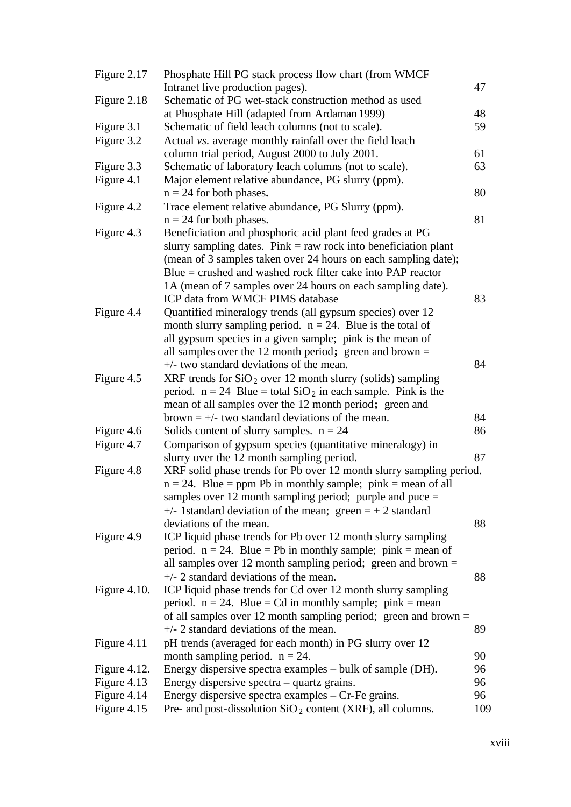| Figure 2.17     | Phosphate Hill PG stack process flow chart (from WMCF)                          |     |
|-----------------|---------------------------------------------------------------------------------|-----|
|                 | Intranet live production pages).                                                | 47  |
| Figure 2.18     | Schematic of PG wet-stack construction method as used                           |     |
|                 | at Phosphate Hill (adapted from Ardaman 1999)                                   | 48  |
| Figure 3.1      | Schematic of field leach columns (not to scale).                                | 59  |
| Figure 3.2      | Actual vs. average monthly rainfall over the field leach                        |     |
|                 | column trial period, August 2000 to July 2001.                                  | 61  |
| Figure 3.3      | Schematic of laboratory leach columns (not to scale).                           | 63  |
| Figure 4.1      | Major element relative abundance, PG slurry (ppm).<br>$n = 24$ for both phases. | 80  |
| Figure 4.2      | Trace element relative abundance, PG Slurry (ppm).                              |     |
|                 | $n = 24$ for both phases.                                                       | 81  |
| Figure 4.3      | Beneficiation and phosphoric acid plant feed grades at PG                       |     |
|                 | slurry sampling dates. Pink $=$ raw rock into beneficiation plant               |     |
|                 | (mean of 3 samples taken over 24 hours on each sampling date);                  |     |
|                 | $Blue = crushed$ and washed rock filter cake into PAP reactor                   |     |
|                 | 1A (mean of 7 samples over 24 hours on each sampling date).                     |     |
|                 | ICP data from WMCF PIMS database                                                | 83  |
| Figure 4.4      | Quantified mineralogy trends (all gypsum species) over 12                       |     |
|                 | month slurry sampling period. $n = 24$ . Blue is the total of                   |     |
|                 | all gypsum species in a given sample; pink is the mean of                       |     |
|                 | all samples over the 12 month period; green and brown $=$                       |     |
|                 | $+\prime$ - two standard deviations of the mean.                                | 84  |
| Figure 4.5      | XRF trends for $SiO2$ over 12 month slurry (solids) sampling                    |     |
|                 | period. $n = 24$ Blue = total SiO <sub>2</sub> in each sample. Pink is the      |     |
|                 | mean of all samples over the 12 month period; green and                         |     |
|                 | brown $= +/-$ two standard deviations of the mean.                              | 84  |
| Figure 4.6      | Solids content of slurry samples. $n = 24$                                      | 86  |
| Figure 4.7      | Comparison of gypsum species (quantitative mineralogy) in                       |     |
|                 | slurry over the 12 month sampling period.                                       | 87  |
| Figure 4.8      | XRF solid phase trends for Pb over 12 month slurry sampling period.             |     |
|                 | $n = 24$ . Blue = ppm Pb in monthly sample; pink = mean of all                  |     |
|                 | samples over 12 month sampling period; purple and puce $=$                      |     |
|                 | $+\prime$ - 1standard deviation of the mean; green $= +2$ standard              |     |
|                 | deviations of the mean.                                                         | 88  |
| Figure 4.9      | ICP liquid phase trends for Pb over 12 month slurry sampling                    |     |
|                 | period. $n = 24$ . Blue = Pb in monthly sample; pink = mean of                  |     |
|                 | all samples over 12 month sampling period; green and brown $=$                  |     |
|                 | $+\prime$ - 2 standard deviations of the mean.                                  | 88  |
| Figure $4.10$ . | ICP liquid phase trends for Cd over 12 month slurry sampling                    |     |
|                 | period. $n = 24$ . Blue = Cd in monthly sample; pink = mean                     |     |
|                 | of all samples over 12 month sampling period; green and brown $=$               |     |
|                 | $+\prime$ - 2 standard deviations of the mean.                                  | 89  |
| Figure 4.11     | pH trends (averaged for each month) in PG slurry over 12                        |     |
|                 | month sampling period. $n = 24$ .                                               | 90  |
| Figure $4.12$ . | Energy dispersive spectra examples – bulk of sample (DH).                       | 96  |
| Figure 4.13     | Energy dispersive spectra – quartz grains.                                      | 96  |
| Figure 4.14     | Energy dispersive spectra examples $-$ Cr-Fe grains.                            | 96  |
| Figure 4.15     | Pre- and post-dissolution $SiO2$ content (XRF), all columns.                    | 109 |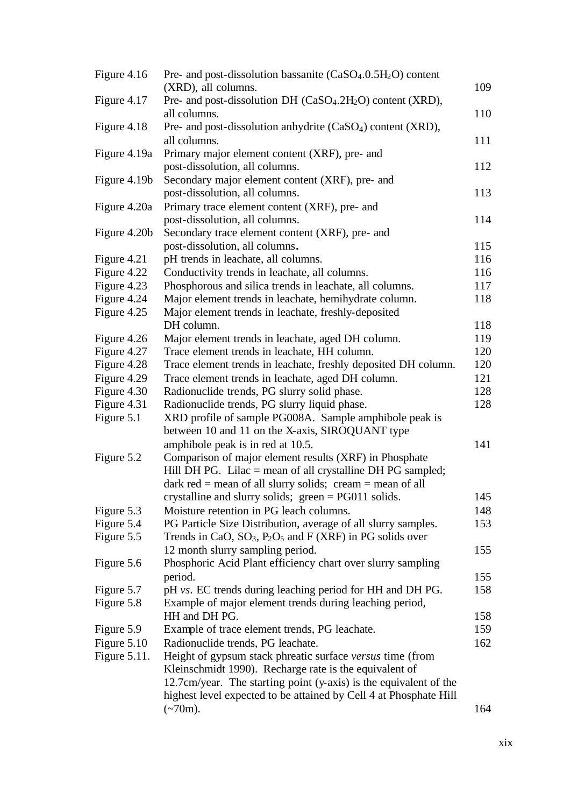| Figure 4.16                | Pre- and post-dissolution bassanite (CaSO <sub>4</sub> .0.5H <sub>2</sub> O) content<br>(XRD), all columns. | 109        |
|----------------------------|-------------------------------------------------------------------------------------------------------------|------------|
| Figure 4.17                | Pre- and post-dissolution DH (CaSO <sub>4</sub> .2H <sub>2</sub> O) content (XRD),                          |            |
|                            | all columns.                                                                                                | 110        |
| Figure 4.18                | Pre- and post-dissolution anhydrite (CaSO <sub>4</sub> ) content (XRD),                                     |            |
|                            | all columns.                                                                                                | 111        |
| Figure 4.19a               | Primary major element content (XRF), pre- and                                                               |            |
|                            | post-dissolution, all columns.                                                                              | 112        |
| Figure 4.19b               | Secondary major element content (XRF), pre- and                                                             |            |
|                            | post-dissolution, all columns.                                                                              | 113        |
| Figure 4.20a               | Primary trace element content (XRF), pre- and                                                               |            |
|                            | post-dissolution, all columns.                                                                              | 114        |
| Figure 4.20b               | Secondary trace element content (XRF), pre- and                                                             |            |
|                            | post-dissolution, all columns.                                                                              | 115        |
| Figure 4.21                | pH trends in leachate, all columns.                                                                         | 116        |
| Figure 4.22                | Conductivity trends in leachate, all columns.                                                               | 116        |
| Figure 4.23                | Phosphorous and silica trends in leachate, all columns.                                                     | 117        |
| Figure 4.24                | Major element trends in leachate, hemihydrate column.                                                       | 118        |
| Figure 4.25                | Major element trends in leachate, freshly-deposited                                                         |            |
|                            | DH column.                                                                                                  | 118        |
| Figure 4.26                | Major element trends in leachate, aged DH column.                                                           | 119        |
| Figure 4.27                | Trace element trends in leachate, HH column.                                                                | 120        |
| Figure 4.28                | Trace element trends in leachate, freshly deposited DH column.                                              | 120        |
| Figure 4.29                | Trace element trends in leachate, aged DH column.                                                           | 121        |
| Figure 4.30<br>Figure 4.31 | Radionuclide trends, PG slurry solid phase.<br>Radionuclide trends, PG slurry liquid phase.                 | 128<br>128 |
| Figure 5.1                 | XRD profile of sample PG008A. Sample amphibole peak is                                                      |            |
|                            | between 10 and 11 on the X-axis, SIROQUANT type                                                             |            |
|                            | amphibole peak is in red at 10.5.                                                                           | 141        |
| Figure 5.2                 | Comparison of major element results (XRF) in Phosphate                                                      |            |
|                            | Hill DH PG. Lilac $=$ mean of all crystalline DH PG sampled;                                                |            |
|                            | dark red = mean of all slurry solids; $c$ ream = mean of all                                                |            |
|                            | crystalline and slurry solids; green = PG011 solids.                                                        | 145        |
| Figure 5.3                 | Moisture retention in PG leach columns.                                                                     | 148        |
| Figure 5.4                 | PG Particle Size Distribution, average of all slurry samples.                                               | 153        |
| Figure 5.5                 | Trends in CaO, $SO_3$ , $P_2O_5$ and F (XRF) in PG solids over                                              |            |
|                            | 12 month slurry sampling period.                                                                            | 155        |
| Figure 5.6                 | Phosphoric Acid Plant efficiency chart over slurry sampling                                                 |            |
|                            | period.                                                                                                     | 155        |
| Figure 5.7                 | pH vs. EC trends during leaching period for HH and DH PG.                                                   | 158        |
| Figure 5.8                 | Example of major element trends during leaching period,                                                     |            |
|                            | HH and DH PG.                                                                                               | 158        |
| Figure 5.9                 | Example of trace element trends, PG leachate.                                                               | 159        |
| Figure 5.10                | Radionuclide trends, PG leachate.                                                                           | 162        |
| Figure 5.11.               | Height of gypsum stack phreatic surface versus time (from                                                   |            |
|                            | Kleinschmidt 1990). Recharge rate is the equivalent of                                                      |            |
|                            | 12.7cm/year. The starting point (y-axis) is the equivalent of the                                           |            |
|                            | highest level expected to be attained by Cell 4 at Phosphate Hill                                           |            |
|                            | $(-70m)$ .                                                                                                  | 164        |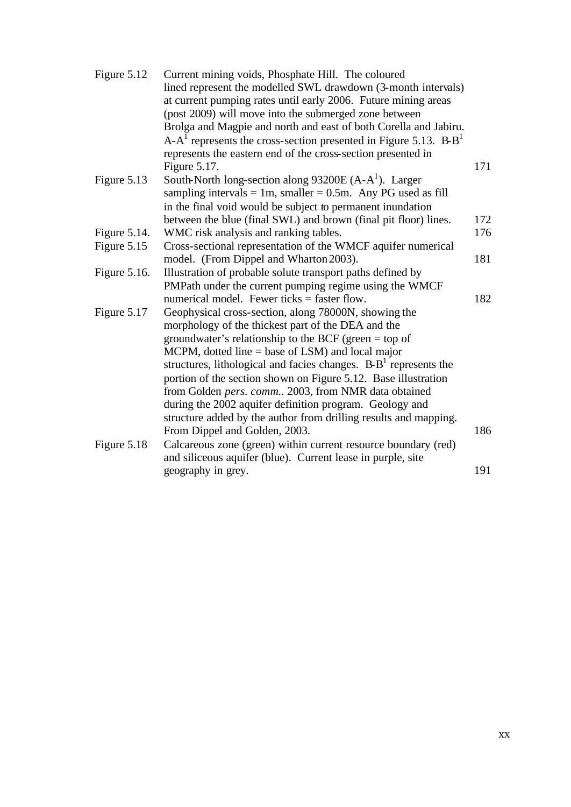| Figure 5.12  | Current mining voids, Phosphate Hill. The coloured                       |     |
|--------------|--------------------------------------------------------------------------|-----|
|              | lined represent the modelled SWL drawdown (3-month intervals)            |     |
|              | at current pumping rates until early 2006. Future mining areas           |     |
|              | (post 2009) will move into the submerged zone between                    |     |
|              | Brolga and Magpie and north and east of both Corella and Jabiru.         |     |
|              | $A - A1$ represents the cross-section presented in Figure 5.13. $B - B1$ |     |
|              | represents the eastern end of the cross-section presented in             |     |
|              | Figure 5.17.                                                             | 171 |
| Figure 5.13  | South-North long-section along $93200E(A-A^1)$ . Larger                  |     |
|              | sampling intervals = 1m, smaller = $0.5$ m. Any PG used as fill          |     |
|              | in the final void would be subject to permanent inundation               |     |
|              | between the blue (final SWL) and brown (final pit floor) lines.          | 172 |
| Figure 5.14. | WMC risk analysis and ranking tables.                                    | 176 |
| Figure 5.15  | Cross-sectional representation of the WMCF aquifer numerical             |     |
|              | model. (From Dippel and Wharton 2003).                                   | 181 |
| Figure 5.16. | Illustration of probable solute transport paths defined by               |     |
|              | PMPath under the current pumping regime using the WMCF                   |     |
|              | numerical model. Fewer ticks $=$ faster flow.                            | 182 |
| Figure 5.17  | Geophysical cross-section, along 78000N, showing the                     |     |
|              | morphology of the thickest part of the DEA and the                       |     |
|              | groundwater's relationship to the BCF (green $=$ top of                  |     |
|              | MCPM, dotted line $=$ base of LSM) and local major                       |     |
|              | structures, lithological and facies changes. $B - B1$ represents the     |     |
|              | portion of the section shown on Figure 5.12. Base illustration           |     |
|              | from Golden pers. comm 2003, from NMR data obtained                      |     |
|              | during the 2002 aquifer definition program. Geology and                  |     |
|              | structure added by the author from drilling results and mapping.         |     |
|              | From Dippel and Golden, 2003.                                            | 186 |
| Figure 5.18  | Calcareous zone (green) within current resource boundary (red)           |     |
|              | and siliceous aquifer (blue). Current lease in purple, site              |     |
|              | geography in grey.                                                       | 191 |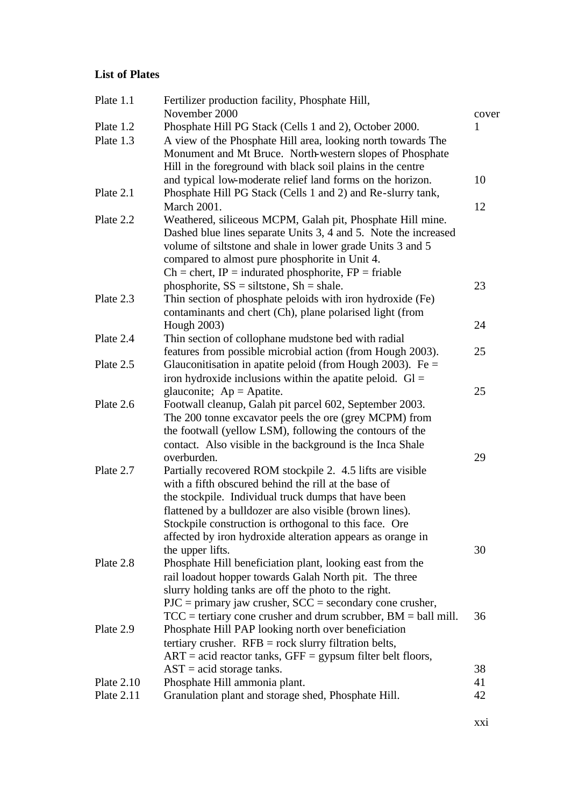# **List of Plates**

| Plate 1.1    | Fertilizer production facility, Phosphate Hill,                                                                      |          |
|--------------|----------------------------------------------------------------------------------------------------------------------|----------|
|              | November 2000                                                                                                        | cover    |
| Plate 1.2    | Phosphate Hill PG Stack (Cells 1 and 2), October 2000.                                                               | 1        |
| Plate 1.3    | A view of the Phosphate Hill area, looking north towards The                                                         |          |
|              | Monument and Mt Bruce. North-western slopes of Phosphate                                                             |          |
|              | Hill in the foreground with black soil plains in the centre                                                          |          |
|              | and typical low-moderate relief land forms on the horizon.                                                           | 10       |
| Plate 2.1    | Phosphate Hill PG Stack (Cells 1 and 2) and Re-slurry tank,                                                          |          |
|              | <b>March 2001.</b>                                                                                                   | 12       |
| Plate 2.2    | Weathered, siliceous MCPM, Galah pit, Phosphate Hill mine.                                                           |          |
|              | Dashed blue lines separate Units 3, 4 and 5. Note the increased                                                      |          |
|              | volume of siltstone and shale in lower grade Units 3 and 5                                                           |          |
|              | compared to almost pure phosphorite in Unit 4.                                                                       |          |
|              | $Ch =$ chert, IP = indurated phosphorite, FP = friable                                                               |          |
|              | phosphorite, $SS =$ siltstone, $Sh =$ shale.                                                                         | 23       |
| Plate 2.3    | Thin section of phosphate peloids with iron hydroxide (Fe)                                                           |          |
|              | contaminants and chert (Ch), plane polarised light (from                                                             |          |
|              | Hough 2003)                                                                                                          | 24       |
| Plate 2.4    | Thin section of collophane mudstone bed with radial                                                                  |          |
|              | features from possible microbial action (from Hough 2003).                                                           | 25       |
| Plate 2.5    | Glauconitisation in apatite peloid (from Hough 2003). Fe $=$                                                         |          |
|              | iron hydroxide inclusions within the apatite peloid. $Gl =$                                                          |          |
|              | glauconite; $Ap = Apatite$ .                                                                                         | 25       |
| Plate 2.6    | Footwall cleanup, Galah pit parcel 602, September 2003.                                                              |          |
|              | The 200 tonne excavator peels the ore (grey MCPM) from                                                               |          |
|              | the footwall (yellow LSM), following the contours of the                                                             |          |
|              | contact. Also visible in the background is the Inca Shale                                                            |          |
|              | overburden.                                                                                                          | 29       |
| Plate 2.7    | Partially recovered ROM stockpile 2. 4.5 lifts are visible                                                           |          |
|              | with a fifth obscured behind the rill at the base of                                                                 |          |
|              | the stockpile. Individual truck dumps that have been                                                                 |          |
|              |                                                                                                                      |          |
|              | flattened by a bulldozer are also visible (brown lines).                                                             |          |
|              | Stockpile construction is orthogonal to this face. Ore<br>affected by iron hydroxide alteration appears as orange in |          |
|              |                                                                                                                      | 30       |
| Plate 2.8    | the upper lifts.                                                                                                     |          |
|              | Phosphate Hill beneficiation plant, looking east from the                                                            |          |
|              | rail loadout hopper towards Galah North pit. The three                                                               |          |
|              | slurry holding tanks are off the photo to the right.                                                                 |          |
|              | $PJC = primary$ jaw crusher, $SCC = secondary$ cone crusher,                                                         |          |
|              | $TCC$ = tertiary cone crusher and drum scrubber, BM = ball mill.                                                     | 36       |
| Plate 2.9    | Phosphate Hill PAP looking north over beneficiation                                                                  |          |
|              | tertiary crusher. $RFB = rock$ slurry filtration belts,                                                              |          |
|              | $ART = acid$ reactor tanks, $GFF = gypsum$ filter belt floors,                                                       |          |
|              | $AST = acid storage tanks.$                                                                                          | 38       |
| Plate $2.10$ | Phosphate Hill ammonia plant.                                                                                        | 41<br>42 |
| Plate $2.11$ | Granulation plant and storage shed, Phosphate Hill.                                                                  |          |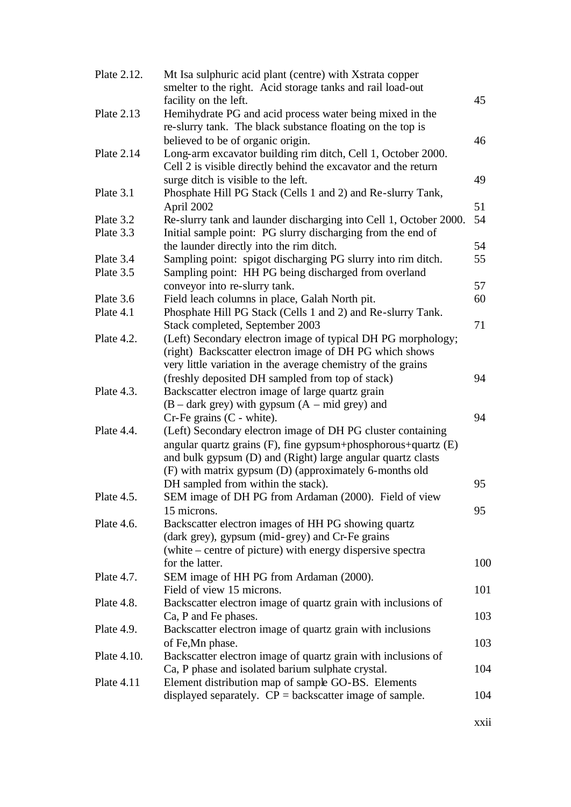| Plate 2.12.       | Mt Isa sulphuric acid plant (centre) with Xstrata copper           |     |
|-------------------|--------------------------------------------------------------------|-----|
|                   | smelter to the right. Acid storage tanks and rail load-out         |     |
|                   | facility on the left.                                              | 45  |
| <b>Plate 2.13</b> | Hemihydrate PG and acid process water being mixed in the           |     |
|                   | re-slurry tank. The black substance floating on the top is         |     |
|                   | believed to be of organic origin.                                  | 46  |
| Plate 2.14        | Long-arm excavator building rim ditch, Cell 1, October 2000.       |     |
|                   | Cell 2 is visible directly behind the excavator and the return     |     |
|                   | surge ditch is visible to the left.                                | 49  |
| Plate 3.1         | Phosphate Hill PG Stack (Cells 1 and 2) and Re-slurry Tank,        |     |
|                   | April 2002                                                         | 51  |
| Plate 3.2         | Re-slurry tank and launder discharging into Cell 1, October 2000.  | 54  |
| Plate 3.3         | Initial sample point: PG slurry discharging from the end of        |     |
|                   | the launder directly into the rim ditch.                           | 54  |
| Plate 3.4         | Sampling point: spigot discharging PG slurry into rim ditch.       | 55  |
| Plate 3.5         | Sampling point: HH PG being discharged from overland               |     |
|                   | conveyor into re-slurry tank.                                      | 57  |
| Plate 3.6         | Field leach columns in place, Galah North pit.                     | 60  |
| Plate 4.1         | Phosphate Hill PG Stack (Cells 1 and 2) and Re-slurry Tank.        |     |
|                   | Stack completed, September 2003                                    | 71  |
| Plate 4.2.        | (Left) Secondary electron image of typical DH PG morphology;       |     |
|                   | (right) Backscatter electron image of DH PG which shows            |     |
|                   | very little variation in the average chemistry of the grains       |     |
|                   | (freshly deposited DH sampled from top of stack)                   | 94  |
| Plate 4.3.        | Backscatter electron image of large quartz grain                   |     |
|                   | $(B - \text{dark grey})$ with gypsum $(A - \text{mid grey})$ and   |     |
|                   | Cr-Fe grains (C - white).                                          | 94  |
| Plate 4.4.        | (Left) Secondary electron image of DH PG cluster containing        |     |
|                   | angular quartz grains $(F)$ , fine gypsum+phosphorous+quartz $(E)$ |     |
|                   | and bulk gypsum (D) and (Right) large angular quartz clasts        |     |
|                   | (F) with matrix gypsum (D) (approximately 6-months old             |     |
|                   | DH sampled from within the stack).                                 | 95  |
| Plate 4.5.        | SEM image of DH PG from Ardaman (2000). Field of view              |     |
|                   | 15 microns.                                                        | 95  |
| Plate 4.6.        | Backscatter electron images of HH PG showing quartz                |     |
|                   | (dark grey), gypsum (mid-grey) and Cr-Fe grains                    |     |
|                   | (white – centre of picture) with energy dispersive spectra         |     |
|                   | for the latter.                                                    | 100 |
| Plate 4.7.        | SEM image of HH PG from Ardaman (2000).                            |     |
|                   | Field of view 15 microns.                                          | 101 |
| Plate 4.8.        | Backscatter electron image of quartz grain with inclusions of      |     |
|                   | Ca, P and Fe phases.                                               | 103 |
| Plate 4.9.        | Backscatter electron image of quartz grain with inclusions         |     |
|                   | of Fe, Mn phase.                                                   | 103 |
| Plate 4.10.       | Backscatter electron image of quartz grain with inclusions of      |     |
|                   | Ca, P phase and isolated barium sulphate crystal.                  | 104 |
| <b>Plate 4.11</b> | Element distribution map of sample GO-BS. Elements                 |     |
|                   | displayed separately. $CP =$ backscatter image of sample.          | 104 |
|                   |                                                                    |     |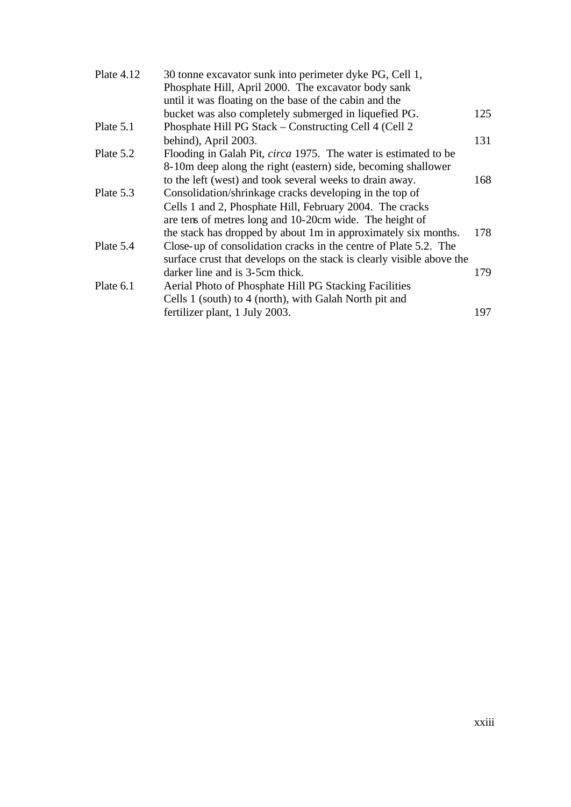| Plate $4.12$ | 30 tonne excavator sunk into perimeter dyke PG, Cell 1,                |     |
|--------------|------------------------------------------------------------------------|-----|
|              | Phosphate Hill, April 2000. The excavator body sank                    |     |
|              | until it was floating on the base of the cabin and the                 |     |
|              | bucket was also completely submerged in liquefied PG.                  | 125 |
| Plate 5.1    | Phosphate Hill PG Stack – Constructing Cell 4 (Cell 2)                 |     |
|              | behind), April 2003.                                                   | 131 |
| Plate 5.2    | Flooding in Galah Pit, <i>circa</i> 1975. The water is estimated to be |     |
|              | 8-10m deep along the right (eastern) side, becoming shallower          |     |
|              | to the left (west) and took several weeks to drain away.               | 168 |
| Plate 5.3    | Consolidation/shrinkage cracks developing in the top of                |     |
|              | Cells 1 and 2, Phosphate Hill, February 2004. The cracks               |     |
|              | are tens of metres long and 10-20cm wide. The height of                |     |
|              | the stack has dropped by about 1m in approximately six months.         | 178 |
| Plate 5.4    | Close-up of consolidation cracks in the centre of Plate 5.2. The       |     |
|              | surface crust that develops on the stack is clearly visible above the  |     |
|              | darker line and is 3-5cm thick.                                        | 179 |
| Plate 6.1    | Aerial Photo of Phosphate Hill PG Stacking Facilities                  |     |
|              | Cells 1 (south) to 4 (north), with Galah North pit and                 |     |
|              | fertilizer plant, 1 July 2003.                                         | 197 |
|              |                                                                        |     |